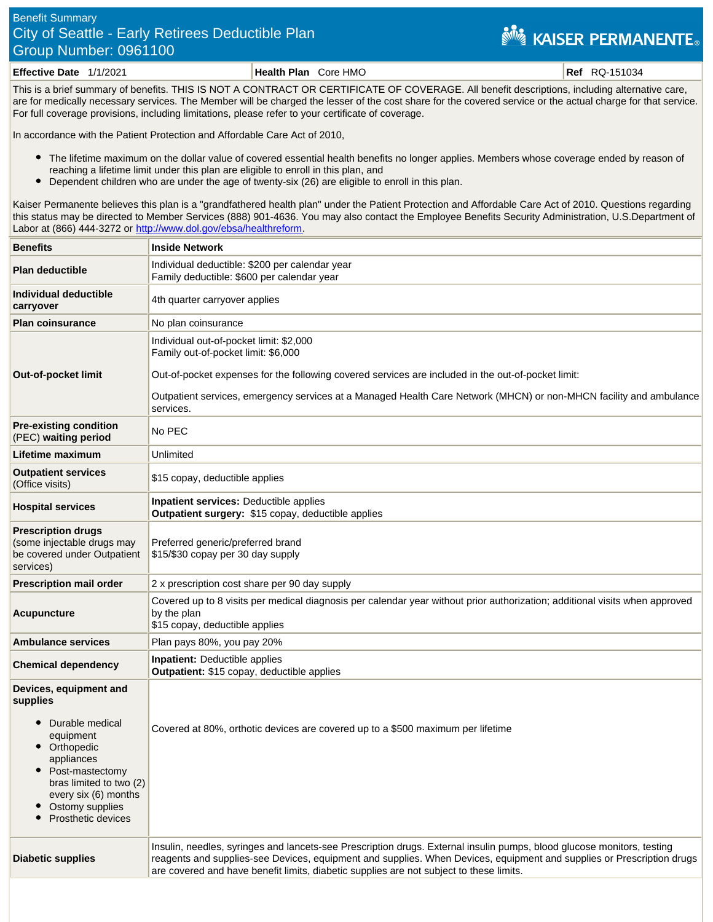## Benefit Summary City of Seattle - Early Retirees Deductible Plan Group Number: 0961100

## **NEW KAISER PERMANENTE.**

**Effective Date** 1/1/2021 **Health Plan** Core HMO **Ref** RQ-151034

This is a brief summary of benefits. THIS IS NOT A CONTRACT OR CERTIFICATE OF COVERAGE. All benefit descriptions, including alternative care, are for medically necessary services. The Member will be charged the lesser of the cost share for the covered service or the actual charge for that service. For full coverage provisions, including limitations, please refer to your certificate of coverage.

In accordance with the Patient Protection and Affordable Care Act of 2010,

- The lifetime maximum on the dollar value of covered essential health benefits no longer applies. Members whose coverage ended by reason of reaching a lifetime limit under this plan are eligible to enroll in this plan, and
- $\bullet$ Dependent children who are under the age of twenty-six (26) are eligible to enroll in this plan.

Kaiser Permanente believes this plan is a "grandfathered health plan" under the Patient Protection and Affordable Care Act of 2010. Questions regarding this status may be directed to Member Services (888) 901-4636. You may also contact the Employee Benefits Security Administration, U.S.Department of Labor at (866) 444-3272 or<http://www.dol.gov/ebsa/healthreform>.

| <b>Benefits</b>                                                                                                                                                                                                 | <b>Inside Network</b>                                                                                                                                                                                                                                                                                                                      |
|-----------------------------------------------------------------------------------------------------------------------------------------------------------------------------------------------------------------|--------------------------------------------------------------------------------------------------------------------------------------------------------------------------------------------------------------------------------------------------------------------------------------------------------------------------------------------|
| <b>Plan deductible</b>                                                                                                                                                                                          | Individual deductible: \$200 per calendar year<br>Family deductible: \$600 per calendar year                                                                                                                                                                                                                                               |
| Individual deductible<br>carryover                                                                                                                                                                              | 4th quarter carryover applies                                                                                                                                                                                                                                                                                                              |
| <b>Plan coinsurance</b>                                                                                                                                                                                         | No plan coinsurance                                                                                                                                                                                                                                                                                                                        |
| Out-of-pocket limit                                                                                                                                                                                             | Individual out-of-pocket limit: \$2,000<br>Family out-of-pocket limit: \$6,000<br>Out-of-pocket expenses for the following covered services are included in the out-of-pocket limit:<br>Outpatient services, emergency services at a Managed Health Care Network (MHCN) or non-MHCN facility and ambulance<br>services.                    |
| <b>Pre-existing condition</b><br>(PEC) waiting period                                                                                                                                                           | No PEC                                                                                                                                                                                                                                                                                                                                     |
| Lifetime maximum                                                                                                                                                                                                | Unlimited                                                                                                                                                                                                                                                                                                                                  |
| <b>Outpatient services</b><br>(Office visits)                                                                                                                                                                   | \$15 copay, deductible applies                                                                                                                                                                                                                                                                                                             |
| <b>Hospital services</b>                                                                                                                                                                                        | <b>Inpatient services: Deductible applies</b><br>Outpatient surgery: \$15 copay, deductible applies                                                                                                                                                                                                                                        |
| <b>Prescription drugs</b><br>(some injectable drugs may<br>be covered under Outpatient<br>services)                                                                                                             | Preferred generic/preferred brand<br>\$15/\$30 copay per 30 day supply                                                                                                                                                                                                                                                                     |
| <b>Prescription mail order</b>                                                                                                                                                                                  | 2 x prescription cost share per 90 day supply                                                                                                                                                                                                                                                                                              |
| Acupuncture                                                                                                                                                                                                     | Covered up to 8 visits per medical diagnosis per calendar year without prior authorization; additional visits when approved<br>by the plan<br>\$15 copay, deductible applies                                                                                                                                                               |
| <b>Ambulance services</b>                                                                                                                                                                                       | Plan pays 80%, you pay 20%                                                                                                                                                                                                                                                                                                                 |
| <b>Chemical dependency</b>                                                                                                                                                                                      | <b>Inpatient:</b> Deductible applies<br>Outpatient: \$15 copay, deductible applies                                                                                                                                                                                                                                                         |
| Devices, equipment and<br>supplies<br>• Durable medical<br>equipment<br>Orthopedic<br>appliances<br>Post-mastectomy<br>bras limited to two (2)<br>every six (6) months<br>Ostomy supplies<br>Prosthetic devices | Covered at 80%, orthotic devices are covered up to a \$500 maximum per lifetime                                                                                                                                                                                                                                                            |
| <b>Diabetic supplies</b>                                                                                                                                                                                        | Insulin, needles, syringes and lancets-see Prescription drugs. External insulin pumps, blood glucose monitors, testing<br>reagents and supplies-see Devices, equipment and supplies. When Devices, equipment and supplies or Prescription drugs<br>are covered and have benefit limits, diabetic supplies are not subject to these limits. |